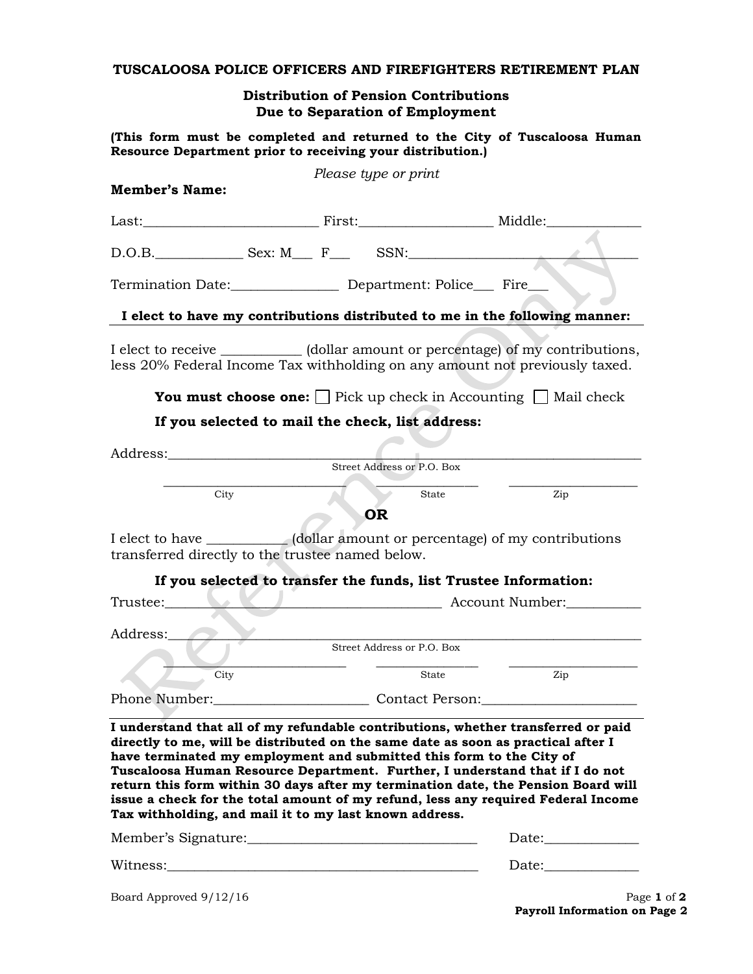## **TUSCALOOSA POLICE OFFICERS AND FIREFIGHTERS RETIREMENT PLAN**

## **Distribution of Pension Contributions Due to Separation of Employment**

**(This form must be completed and returned to the City of Tuscaloosa Human Resource Department prior to receiving your distribution.)**

| <b>Member's Name:</b>                                                                                                          | Please type or print                             |                                                                                                                                                                                                                                                                                                                                                                                                                                  |  |
|--------------------------------------------------------------------------------------------------------------------------------|--------------------------------------------------|----------------------------------------------------------------------------------------------------------------------------------------------------------------------------------------------------------------------------------------------------------------------------------------------------------------------------------------------------------------------------------------------------------------------------------|--|
|                                                                                                                                |                                                  |                                                                                                                                                                                                                                                                                                                                                                                                                                  |  |
| $D.O.B.$ Sex: M_R_ F_ SSN:                                                                                                     |                                                  |                                                                                                                                                                                                                                                                                                                                                                                                                                  |  |
| Termination Date: Department: Police Fire                                                                                      |                                                  |                                                                                                                                                                                                                                                                                                                                                                                                                                  |  |
|                                                                                                                                |                                                  | I elect to have my contributions distributed to me in the following manner:                                                                                                                                                                                                                                                                                                                                                      |  |
|                                                                                                                                |                                                  | I elect to receive ____________ (dollar amount or percentage) of my contributions,<br>less 20% Federal Income Tax withholding on any amount not previously taxed.                                                                                                                                                                                                                                                                |  |
|                                                                                                                                |                                                  | <b>You must choose one:</b> $\Box$ Pick up check in Accounting $\Box$ Mail check                                                                                                                                                                                                                                                                                                                                                 |  |
|                                                                                                                                | If you selected to mail the check, list address: |                                                                                                                                                                                                                                                                                                                                                                                                                                  |  |
|                                                                                                                                |                                                  |                                                                                                                                                                                                                                                                                                                                                                                                                                  |  |
|                                                                                                                                | Street Address or P.O. Box                       |                                                                                                                                                                                                                                                                                                                                                                                                                                  |  |
| City                                                                                                                           |                                                  | State<br>Zip                                                                                                                                                                                                                                                                                                                                                                                                                     |  |
| transferred directly to the trustee named below.                                                                               | <b>OR</b>                                        | I elect to have ___________(dollar amount or percentage) of my contributions<br>If you selected to transfer the funds, list Trustee Information:                                                                                                                                                                                                                                                                                 |  |
|                                                                                                                                |                                                  | Trustee: Account Number:                                                                                                                                                                                                                                                                                                                                                                                                         |  |
|                                                                                                                                |                                                  |                                                                                                                                                                                                                                                                                                                                                                                                                                  |  |
| Address:                                                                                                                       | Street Address or P.O. Box                       |                                                                                                                                                                                                                                                                                                                                                                                                                                  |  |
| City                                                                                                                           |                                                  | Zip<br>State                                                                                                                                                                                                                                                                                                                                                                                                                     |  |
|                                                                                                                                |                                                  | Phone Number: Contact Person: Contact Designations Contact Person:                                                                                                                                                                                                                                                                                                                                                               |  |
| have terminated my employment and submitted this form to the City of<br>Tax withholding, and mail it to my last known address. |                                                  | I understand that all of my refundable contributions, whether transferred or paid<br>directly to me, will be distributed on the same date as soon as practical after I<br>Tuscaloosa Human Resource Department. Further, I understand that if I do not<br>return this form within 30 days after my termination date, the Pension Board will<br>issue a check for the total amount of my refund, less any required Federal Income |  |
| Member's Signature:                                                                                                            |                                                  | Date:                                                                                                                                                                                                                                                                                                                                                                                                                            |  |

| Witness: | ۱nter<br>Dan |  |
|----------|--------------|--|
|          |              |  |